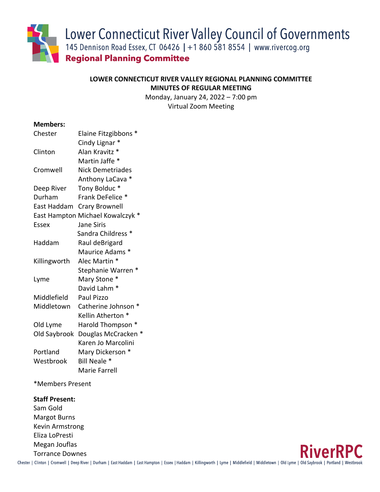Lower Connecticut River Valley Council of Governments

145 Dennison Road Essex, CT 06426 | +1 860 581 8554 | www.rivercog.org

**Regional Planning Committee** 

# **LOWER CONNECTICUT RIVER VALLEY REGIONAL PLANNING COMMITTEE MINUTES OF REGULAR MEETING**

Monday, January 24, 2022 – 7:00 pm Virtual Zoom Meeting

# **Members:**

| Chester      | Elaine Fitzgibbons *             |
|--------------|----------------------------------|
|              | Cindy Lignar *                   |
| Clinton      | Alan Kravitz *                   |
|              | Martin Jaffe *                   |
| Cromwell     | Nick Demetriades                 |
|              | Anthony LaCava *                 |
| Deep River   | Tony Bolduc*                     |
| Durham       | Frank DeFelice *                 |
| East Haddam  | <b>Crary Brownell</b>            |
|              | East Hampton Michael Kowalczyk * |
| <b>Essex</b> | <b>Jane Siris</b>                |
|              | Sandra Childress <sup>*</sup>    |
| Haddam       | Raul deBrigard                   |
|              | Maurice Adams *                  |
| Killingworth | Alec Martin *                    |
|              | Stephanie Warren *               |
| Lyme         | Mary Stone *                     |
|              | David Lahm <sup>*</sup>          |
| Middlefield  | Paul Pizzo                       |
| Middletown   | Catherine Johnson *              |
|              | Kellin Atherton *                |
| Old Lyme     | Harold Thompson *                |
| Old Saybrook | Douglas McCracken *              |
|              | Karen Jo Marcolini               |
| Portland     | Mary Dickerson *                 |
| Westbrook    | Bill Neale *                     |
|              | Marie Farrell                    |

\*Members Present

# **Staff Present:**

Sam Gold Margot Burns Kevin Armstrong Eliza LoPresti Megan Jouflas Torrance Downes

Chester | Clinton | Cromwell | Deep River | Durham | East Haddam | East Hampton | Essex | Haddam | Killingworth | Lyme | Middlefield | Middletown | Old Lyme | Old Saybrook | Portland | Westbrook

**RiverRPC**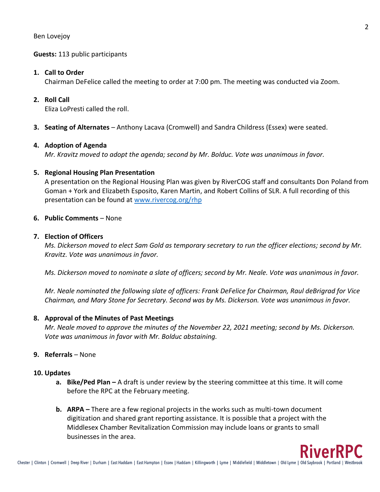## **Guests:** 113 public participants

#### **1. Call to Order**

Chairman DeFelice called the meeting to order at 7:00 pm. The meeting was conducted via Zoom.

## **2. Roll Call**

Eliza LoPresti called the roll.

**3. Seating of Alternates** – Anthony Lacava (Cromwell) and Sandra Childress (Essex) were seated.

#### **4. Adoption of Agenda**

*Mr. Kravitz moved to adopt the agenda; second by Mr. Bolduc. Vote was unanimous in favor.*

## **5. Regional Housing Plan Presentation**

A presentation on the Regional Housing Plan was given by RiverCOG staff and consultants Don Poland from Goman + York and Elizabeth Esposito, Karen Martin, and Robert Collins of SLR. A full recording of this presentation can be found at [www.rivercog.org/rhp](http://www.rivercog.org/rhp)

## **6. Public Comments** – None

#### **7. Election of Officers**

*Ms. Dickerson moved to elect Sam Gold as temporary secretary to run the officer elections; second by Mr. Kravitz. Vote was unanimous in favor.*

*Ms. Dickerson moved to nominate a slate of officers; second by Mr. Neale. Vote was unanimous in favor.*

*Mr. Neale nominated the following slate of officers: Frank DeFelice for Chairman, Raul deBrigrad for Vice Chairman, and Mary Stone for Secretary. Second was by Ms. Dickerson. Vote was unanimous in favor.*

#### **8. Approval of the Minutes of Past Meetings**

*Mr. Neale moved to approve the minutes of the November 22, 2021 meeting; second by Ms. Dickerson. Vote was unanimous in favor with Mr. Bolduc abstaining.*

#### **9. Referrals** – None

## **10. Updates**

- **a. Bike/Ped Plan –** A draft is under review by the steering committee at this time. It will come before the RPC at the February meeting.
- **b. ARPA –** There are a few regional projects in the works such as multi-town document digitization and shared grant reporting assistance. It is possible that a project with the Middlesex Chamber Revitalization Commission may include loans or grants to small businesses in the area.